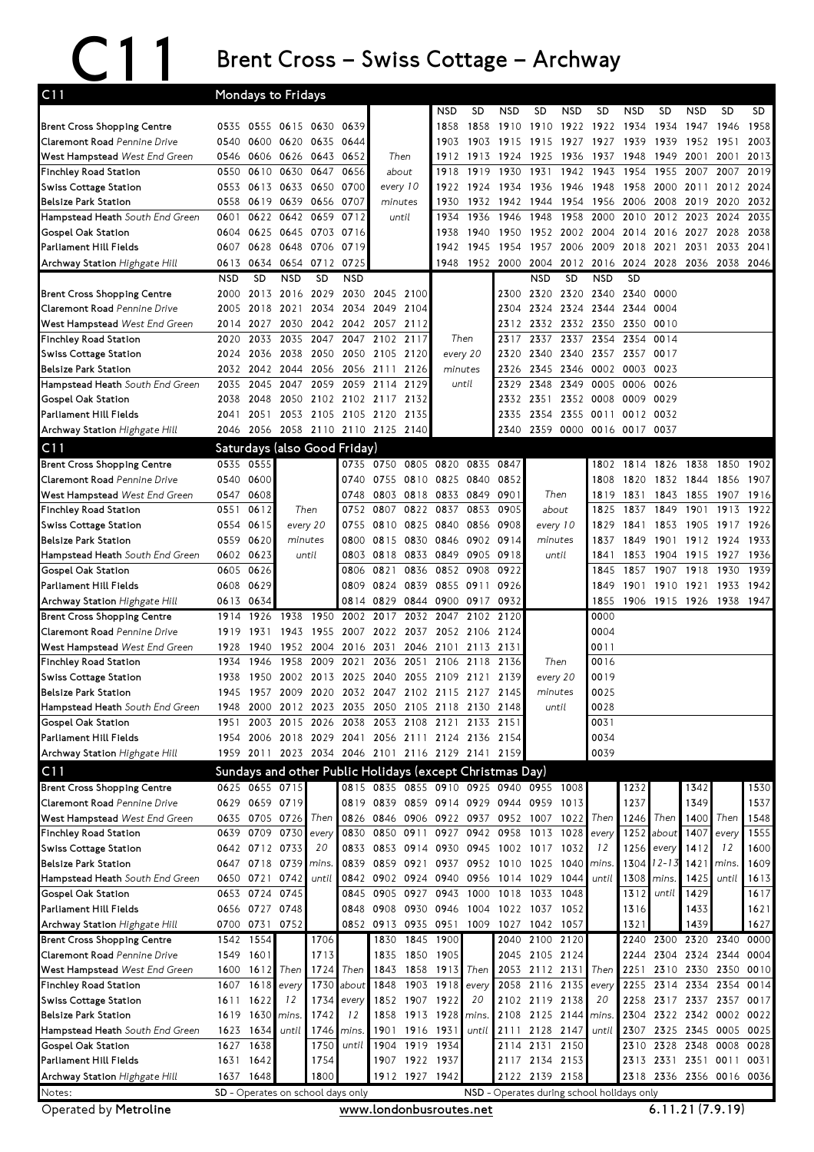## C11 Brent Cross – Swiss Cottage – Archway

| NSD<br>SD<br><b>NSD</b><br><b>SD</b><br><b>NSD</b><br>SD<br>NSD<br><b>SD</b><br>NSD<br><b>SD</b><br>SD<br>1958<br>0555 0615 0630<br>1858<br>1910<br>1910 1922 1922 1934<br>1934<br>1947<br>1946<br><b>Brent Cross Shopping Centre</b><br>0535<br>0639<br>1858<br>2003<br>Claremont Road Pennine Drive<br>0620 0635<br>1903<br>1903<br>1915<br>1927<br>1927<br>1939<br>1939<br>0540<br>0600<br>0644<br>1915<br>1952<br>1951<br>West Hampstead West End Green<br>0626 0643<br>Then<br>2013<br>0606<br>0652<br>1912<br>1913<br>1924<br>1925<br>1936<br>1937<br>1948<br>1949<br>2001<br>2001<br>0546<br>Finchley Road Station<br>0610<br>0630<br>0647<br>1918<br>1919<br>1930<br>1931<br>1942<br>1943<br>1954<br>1955<br>2007<br>2019<br>0550<br>0656<br>about<br>2007<br><b>Swiss Cottage Station</b><br>0650<br>0553<br>0613 0633<br>0700<br>every 10<br>1924<br>1934<br>1936<br>1946<br>1948<br>1958<br>2000<br>2011<br>2012 2024<br>1922<br>2032<br>0558<br>0619<br>0639<br>0656<br>0707<br>1930<br>1932<br>1942<br>1944<br>1954<br>1956<br>2006<br>2008<br>2019<br>2020<br>minutes<br>0659<br>0712<br>2000<br>2010<br>2035<br>0622<br>0642<br>1936<br>1946<br>1948<br>1958<br>2012<br>2023<br>2024<br>0601<br>until<br>1934<br>0625 0645 0703<br>2038<br>0604<br>0716<br>1938<br>1940<br>1950<br>1952<br>2002<br>2004<br>2014<br>2016<br>2027<br>2028<br>0628<br>0648 0706<br>0719<br>1942<br>1945<br>1954<br>2006<br>2009<br>2018<br>2033<br>0607<br>1957<br>2021<br>2031<br>2041<br>0654 0712<br>1948<br>0613<br>0634<br>0725<br>1952<br>2000<br>2004<br>2012<br>2016<br>2024<br>2028 2036 2038 2046<br><b>SD</b><br><b>NSD</b><br><b>SD</b><br><b>NSD</b><br><b>SD</b><br><b>NSD</b><br><b>SD</b><br><b>NSD</b><br><b>NSD</b><br><b>Brent Cross Shopping Centre</b><br>2030 2045 2100<br>2000<br>2013 2016 2029<br>2300 2320 2320 2340 2340 0000<br>Claremont Road Pennine Drive<br>2034<br>2344<br>0004<br>2005<br>2018<br>2021<br>2034 2049<br>2104<br>2304<br>2324 2324<br>2344<br>West Hampstead West End Green<br>2030<br>2042 2042 2057 2112<br>2332 2332 2350<br>2350<br>0010<br>2027<br>2312<br>2014<br>2033<br>2047<br>2047<br>2102<br>2117<br>2337<br>2337<br>2354<br>2354<br><b>Finchley Road Station</b><br>2020<br>2035<br>Then<br>2317<br>0014<br><b>Swiss Cottage Station</b><br>2036<br>2038<br>2050<br>2050<br>2105<br>every 20<br>2320<br>2340<br>2340<br>2357<br>2357<br>2024<br>2120<br>0017<br><b>Belsize Park Station</b><br>2056<br>2326<br>2345 2346<br>0002<br>0003<br>0023<br>2032<br>2042<br>2044<br>2056<br>2111<br>2126<br>minutes<br>Hampstead Heath South End Green<br>2045<br>2047<br>2059<br>2059<br>2114<br>2129<br>2348<br>2349<br>0005<br>0006<br>0026<br>2035<br>until<br>2329<br>2048<br>2050 2102 2102 2117 2132<br>2352 0008<br>0009<br>0029<br>2038<br>2332<br>2351<br>2053 2105 2105 2120<br>2051<br>2135<br>2354<br>2355<br>0011<br>0012<br>0032<br>2041<br>2335<br>2056<br>2058 2110 2110 2125 2140<br>2359<br>0000<br>0016 0017 0037<br>2046<br>2340<br>C11<br>Saturdays (also Good Friday)<br>0535<br>0555<br>0735<br>0750 0805<br>0820<br>0835<br>0847<br>1826<br>1838<br>1902<br>1802<br>1814<br>1850<br>0540<br>0600<br>0755<br>0810 0825 0840<br>0852<br>1832<br>1907<br>0740<br>1808<br>1820<br>1844<br>1856<br>0547<br>0803 0818 0833 0849<br>Then<br>1843<br>0608<br>0748<br>0901<br>1819<br>1831<br>1855<br>1907<br>1916<br>0612<br>Then<br>0752<br>0807<br>0822 0837 0853<br>0905<br>about<br>1849<br>1901<br>1913<br>0551<br>1825<br>1837<br>1922<br>Swiss Cottage Station<br>0554<br>0615<br>every 20<br>0755<br>0825<br>0840 0856<br>every 10<br>1853<br>1926<br>0810<br>0908<br>1829<br>1841<br>1905<br>1917<br>0559<br>0620<br>0815 0830<br>0846 0902 0914<br>1933<br>minutes<br>0800<br>minutes<br>1837<br>1849<br>1901<br>1912 1924<br>Hampstead Heath South End Green<br>until<br>0818 0833<br>0849 0905<br>0602<br>0623<br>0803<br>0918<br>until<br>1904<br>1915<br>1927<br>1936<br>1841<br>1853<br>0626<br>0836<br>0852<br>0908<br>0922<br>1857<br>1907<br>1918<br>1930<br>1939<br>0605<br>0821<br>1845<br>Gospel Oak Station<br>0806<br>0824<br>0839<br>0855 0911<br>1933<br>1942<br>Parliament Hill Fields<br>0608<br>0629<br>0809<br>0926<br>1849<br>1901<br>1910<br>1921<br>0900 0917<br>0932<br>1855<br>1915 1926<br>1938<br>Archway Station Highgate Hill<br>0613<br>0634<br>0814<br>0829<br>0844<br>1906<br>1947<br><b>Brent Cross Shopping Centre</b><br>1950<br>1926<br>1938<br>2002<br>2017<br>2032<br>2047<br>2102<br>2120<br>0000<br>1914<br>Claremont Road Pennine Drive<br>0004<br>2124<br>1919<br>1931<br>1943<br>1955<br>2007<br>2022<br>2037<br>2052 2106<br>West Hampstead West End Green<br>0011<br>1928<br>1940<br>1952 2004<br>2016 2031<br>2046<br>2101 2113 2131<br><b>Finchley Road Station</b><br>1934<br>1946<br>1958<br>2009<br>2021<br>2036<br>2051<br>2106 2118<br>Then<br>0016<br>2136<br>2013<br>2055<br>2109 2121<br>0019<br>1938<br>1950<br>2002<br>2025<br>2040<br>2139<br>every 20<br>1945<br>1957<br>2009 2020 2032 2047 2102 2115 2127 2145<br>0025<br>minutes<br>until<br>0028<br>2000<br>2012 2023 2035 2050 2105 2118 2130 2148<br>1948<br>Gospel Oak Station<br>0031<br>2003<br>2015<br>2026<br>2053<br>2108<br>2121<br>2133<br>1951<br>2038<br>2151<br>Parliament Hill Fields<br>0034<br>2006 2018 2029 2041 2056 2111 2124 2136 2154<br>1954<br>Archway Station Highgate Hill<br>0039<br>1959 2011 2023 2034 2046 2101 2116 2129 2141 2159<br>Sundays and other Public Holidays (except Christmas Day)<br><b>Brent Cross Shopping Centre</b><br>0625 0655 0715<br>0815 0835 0855 0910 0925 0940 0955 1008<br>1530<br>1342<br>1232<br>1537<br>0629 0659 0719<br>0819 0839 0859 0914 0929 0944 0959<br>1237<br>1349<br>1013<br>West Hampstead West End Green<br>0705 0726<br>Then<br>0826 0846 0906 0922 0937<br>0952 1007 1022 Then<br>1246<br>1400<br>1548<br>0635<br>Then<br>Then<br>1555<br>0639 0709 0730<br>0830<br>0850<br>0911<br>0927<br>0942<br>0958<br>1013<br>1028<br>1252<br>about<br>1407<br><b>Finchley Road Station</b><br>every<br>every<br>every<br>1600<br>0642 0712 0733<br>20<br>0833 0853<br>0914 0930 0945<br>1002 1017<br>1032<br>12<br>1256<br>1412<br>12<br><b>Swiss Cottage Station</b><br>every<br>0647 0718 0739<br>1304<br>12-13<br>1609<br><b>Belsize Park Station</b><br>0839<br>0859<br>0921<br>0937 0952<br>1010 1025<br>1040<br>1421<br>mins.<br>mins.<br>mins.<br>Hampstead Heath South End Green<br>0650 0721<br>0742<br>0842 0902 0924<br>0940 0956<br>1014 1029<br>1044<br>1308<br>1425<br>until<br>1613<br>until<br>until<br>mins.<br>Gospel Oak Station<br>0653 0724 0745<br>0943 1000<br>1018 1033<br>1312<br>1617<br>0845 0905 0927<br>1048<br>1429<br>until<br>Parliament Hill Fields<br>0656 0727 0748<br>0848 0908 0930<br>0946 1004<br>1621<br>1022 1037 1052<br>1433<br>1316<br>0700 0731 0752<br>0852 0913 0935 0951 1009<br>1027 1042 1057<br>1321<br>1439<br>1627<br>1830 1845<br>1900<br>2040 2100 2120<br>2300 2320 2340<br>1542 1554<br>1706<br>2240<br>0000<br>1835 1850 1905<br>2045 2105 2124<br>2304 2324 2344<br>1549 1601<br>1713<br>2244<br>0004<br>Then<br>1724<br>Then<br>1858<br>1913 Then<br>2053 2112 2131<br>2251<br>2350<br>1600<br>1612<br>1843<br>Then<br>2310 2330<br>0010<br>Finchley Road Station<br>about<br>1903<br>1918<br>2116 2135<br>2314 2334<br>1607<br>1618<br>1730<br>1848<br>2058<br>2255<br>2354<br>0014<br>every<br>every<br>every<br><b>Swiss Cottage Station</b><br>2102 2119 2138<br>1852 1907 1922<br>2317 2337 2357<br>1611<br>1622<br>1734<br>20<br>2258<br>0017<br>12<br>every<br>20<br><b>Belsize Park Station</b><br>1742<br>12<br>1913 1928<br>2108 2125 2144<br>1619 1630<br>1858<br>2304<br>2322 2342 0002 0022<br>mins.<br>mins.<br>mins.<br>2325 2345 0005<br>Hampstead Heath South End Green<br>1623<br>1634<br>until<br>1746<br>1901 1916 1931<br>2111 2128 2147<br>2307<br>0025<br>mins.<br>until<br>until<br>1638<br>1904 1919 1934<br>2114 2131 2150<br>2328 2348 0008<br>1627<br>1750<br>until<br>2310<br>0028<br><b>Gospel Oak Station</b><br>Parliament Hill Fields<br>1754<br>1907 1922 1937<br>2117 2134 2153<br>2313 2331 2351 0011<br>1631<br>1642<br>0031<br>Archway Station Highgate Hill<br>1912 1927 1942<br>2122 2139 2158<br>1637 1648<br>1800<br>2318 2336 2356 0016 0036<br>SD - Operates on school days only<br>NSD - Operates during school holidays only | C <sub>11</sub>                    | Mondays to Fridays |  |  |  |  |  |  |  |  |  |  |  |  |  |  |  |  |  |
|---------------------------------------------------------------------------------------------------------------------------------------------------------------------------------------------------------------------------------------------------------------------------------------------------------------------------------------------------------------------------------------------------------------------------------------------------------------------------------------------------------------------------------------------------------------------------------------------------------------------------------------------------------------------------------------------------------------------------------------------------------------------------------------------------------------------------------------------------------------------------------------------------------------------------------------------------------------------------------------------------------------------------------------------------------------------------------------------------------------------------------------------------------------------------------------------------------------------------------------------------------------------------------------------------------------------------------------------------------------------------------------------------------------------------------------------------------------------------------------------------------------------------------------------------------------------------------------------------------------------------------------------------------------------------------------------------------------------------------------------------------------------------------------------------------------------------------------------------------------------------------------------------------------------------------------------------------------------------------------------------------------------------------------------------------------------------------------------------------------------------------------------------------------------------------------------------------------------------------------------------------------------------------------------------------------------------------------------------------------------------------------------------------------------------------------------------------------------------------------------------------------------------------------------------------------------------------------------------------------------------------------------------------------------------------------------------------------------------------------------------------------------------------------------------------------------------------------------------------------------------------------------------------------------------------------------------------------------------------------------------------------------------------------------------------------------------------------------------------------------------------------------------------------------------------------------------------------------------------------------------------------------------------------------------------------------------------------------------------------------------------------------------------------------------------------------------------------------------------------------------------------------------------------------------------------------------------------------------------------------------------------------------------------------------------------------------------------------------------------------------------------------------------------------------------------------------------------------------------------------------------------------------------------------------------------------------------------------------------------------------------------------------------------------------------------------------------------------------------------------------------------------------------------------------------------------------------------------------------------------------------------------------------------------------------------------------------------------------------------------------------------------------------------------------------------------------------------------------------------------------------------------------------------------------------------------------------------------------------------------------------------------------------------------------------------------------------------------------------------------------------------------------------------------------------------------------------------------------------------------------------------------------------------------------------------------------------------------------------------------------------------------------------------------------------------------------------------------------------------------------------------------------------------------------------------------------------------------------------------------------------------------------------------------------------------------------------------------------------------------------------------------------------------------------------------------------------------------------------------------------------------------------------------------------------------------------------------------------------------------------------------------------------------------------------------------------------------------------------------------------------------------------------------------------------------------------------------------------------------------------------------------------------------------------------------------------------------------------------------------------------------------------------------------------------------------------------------------------------------------------------------------------------------------------------------------------------------------------------------------------------------------------------------------------------------------------------------------------------------------------------------------------------------------------------------------------------------------------------------------------------------------------------------------------------------------------------------------------------------------------------------------------------------------------------------------------------------------------------------------------------------------------------------------------------------------------------------------------------------------------------------------------------------------------------------------------------------------------------------------------------------------------------------------------------------------------------------------------------------------------------------------------------------------------------------------------------------------------------------------------------------------------------------------------------------------------------------------------------------------------------------------------------------------------------------------------------------------------------------------------------------------------------------------------------------------------------------------------------------------------------------------------------------------------------------------------------------------------------------------------------------------------------------------------------------------------------------------------------------------------------------------------------------------------------------------------------------------------------------------------------------------------------------------------------------------------------------------------------------------------------------------------------------------------------------------------------------------------------------------------------------------------------------------------------------------------------------------------------------------------------------------------|------------------------------------|--------------------|--|--|--|--|--|--|--|--|--|--|--|--|--|--|--|--|--|
|                                                                                                                                                                                                                                                                                                                                                                                                                                                                                                                                                                                                                                                                                                                                                                                                                                                                                                                                                                                                                                                                                                                                                                                                                                                                                                                                                                                                                                                                                                                                                                                                                                                                                                                                                                                                                                                                                                                                                                                                                                                                                                                                                                                                                                                                                                                                                                                                                                                                                                                                                                                                                                                                                                                                                                                                                                                                                                                                                                                                                                                                                                                                                                                                                                                                                                                                                                                                                                                                                                                                                                                                                                                                                                                                                                                                                                                                                                                                                                                                                                                                                                                                                                                                                                                                                                                                                                                                                                                                                                                                                                                                                                                                                                                                                                                                                                                                                                                                                                                                                                                                                                                                                                                                                                                                                                                                                                                                                                                                                                                                                                                                                                                                                                                                                                                                                                                                                                                                                                                                                                                                                                                                                                                                                                                                                                                                                                                                                                                                                                                                                                                                                                                                                                                                                                                                                                                                                                                                                                                                                                                                                                                                                                                                                                                                                                                                                                                                                                                                                                                                                                                                                                                                                                                                                                                                                                                                                                                                                                                                                                                                                                                                                                                                                                                                                                                                                                                                   |                                    |                    |  |  |  |  |  |  |  |  |  |  |  |  |  |  |  |  |  |
|                                                                                                                                                                                                                                                                                                                                                                                                                                                                                                                                                                                                                                                                                                                                                                                                                                                                                                                                                                                                                                                                                                                                                                                                                                                                                                                                                                                                                                                                                                                                                                                                                                                                                                                                                                                                                                                                                                                                                                                                                                                                                                                                                                                                                                                                                                                                                                                                                                                                                                                                                                                                                                                                                                                                                                                                                                                                                                                                                                                                                                                                                                                                                                                                                                                                                                                                                                                                                                                                                                                                                                                                                                                                                                                                                                                                                                                                                                                                                                                                                                                                                                                                                                                                                                                                                                                                                                                                                                                                                                                                                                                                                                                                                                                                                                                                                                                                                                                                                                                                                                                                                                                                                                                                                                                                                                                                                                                                                                                                                                                                                                                                                                                                                                                                                                                                                                                                                                                                                                                                                                                                                                                                                                                                                                                                                                                                                                                                                                                                                                                                                                                                                                                                                                                                                                                                                                                                                                                                                                                                                                                                                                                                                                                                                                                                                                                                                                                                                                                                                                                                                                                                                                                                                                                                                                                                                                                                                                                                                                                                                                                                                                                                                                                                                                                                                                                                                                                                   |                                    |                    |  |  |  |  |  |  |  |  |  |  |  |  |  |  |  |  |  |
|                                                                                                                                                                                                                                                                                                                                                                                                                                                                                                                                                                                                                                                                                                                                                                                                                                                                                                                                                                                                                                                                                                                                                                                                                                                                                                                                                                                                                                                                                                                                                                                                                                                                                                                                                                                                                                                                                                                                                                                                                                                                                                                                                                                                                                                                                                                                                                                                                                                                                                                                                                                                                                                                                                                                                                                                                                                                                                                                                                                                                                                                                                                                                                                                                                                                                                                                                                                                                                                                                                                                                                                                                                                                                                                                                                                                                                                                                                                                                                                                                                                                                                                                                                                                                                                                                                                                                                                                                                                                                                                                                                                                                                                                                                                                                                                                                                                                                                                                                                                                                                                                                                                                                                                                                                                                                                                                                                                                                                                                                                                                                                                                                                                                                                                                                                                                                                                                                                                                                                                                                                                                                                                                                                                                                                                                                                                                                                                                                                                                                                                                                                                                                                                                                                                                                                                                                                                                                                                                                                                                                                                                                                                                                                                                                                                                                                                                                                                                                                                                                                                                                                                                                                                                                                                                                                                                                                                                                                                                                                                                                                                                                                                                                                                                                                                                                                                                                                                                   |                                    |                    |  |  |  |  |  |  |  |  |  |  |  |  |  |  |  |  |  |
|                                                                                                                                                                                                                                                                                                                                                                                                                                                                                                                                                                                                                                                                                                                                                                                                                                                                                                                                                                                                                                                                                                                                                                                                                                                                                                                                                                                                                                                                                                                                                                                                                                                                                                                                                                                                                                                                                                                                                                                                                                                                                                                                                                                                                                                                                                                                                                                                                                                                                                                                                                                                                                                                                                                                                                                                                                                                                                                                                                                                                                                                                                                                                                                                                                                                                                                                                                                                                                                                                                                                                                                                                                                                                                                                                                                                                                                                                                                                                                                                                                                                                                                                                                                                                                                                                                                                                                                                                                                                                                                                                                                                                                                                                                                                                                                                                                                                                                                                                                                                                                                                                                                                                                                                                                                                                                                                                                                                                                                                                                                                                                                                                                                                                                                                                                                                                                                                                                                                                                                                                                                                                                                                                                                                                                                                                                                                                                                                                                                                                                                                                                                                                                                                                                                                                                                                                                                                                                                                                                                                                                                                                                                                                                                                                                                                                                                                                                                                                                                                                                                                                                                                                                                                                                                                                                                                                                                                                                                                                                                                                                                                                                                                                                                                                                                                                                                                                                                                   |                                    |                    |  |  |  |  |  |  |  |  |  |  |  |  |  |  |  |  |  |
|                                                                                                                                                                                                                                                                                                                                                                                                                                                                                                                                                                                                                                                                                                                                                                                                                                                                                                                                                                                                                                                                                                                                                                                                                                                                                                                                                                                                                                                                                                                                                                                                                                                                                                                                                                                                                                                                                                                                                                                                                                                                                                                                                                                                                                                                                                                                                                                                                                                                                                                                                                                                                                                                                                                                                                                                                                                                                                                                                                                                                                                                                                                                                                                                                                                                                                                                                                                                                                                                                                                                                                                                                                                                                                                                                                                                                                                                                                                                                                                                                                                                                                                                                                                                                                                                                                                                                                                                                                                                                                                                                                                                                                                                                                                                                                                                                                                                                                                                                                                                                                                                                                                                                                                                                                                                                                                                                                                                                                                                                                                                                                                                                                                                                                                                                                                                                                                                                                                                                                                                                                                                                                                                                                                                                                                                                                                                                                                                                                                                                                                                                                                                                                                                                                                                                                                                                                                                                                                                                                                                                                                                                                                                                                                                                                                                                                                                                                                                                                                                                                                                                                                                                                                                                                                                                                                                                                                                                                                                                                                                                                                                                                                                                                                                                                                                                                                                                                                                   |                                    |                    |  |  |  |  |  |  |  |  |  |  |  |  |  |  |  |  |  |
|                                                                                                                                                                                                                                                                                                                                                                                                                                                                                                                                                                                                                                                                                                                                                                                                                                                                                                                                                                                                                                                                                                                                                                                                                                                                                                                                                                                                                                                                                                                                                                                                                                                                                                                                                                                                                                                                                                                                                                                                                                                                                                                                                                                                                                                                                                                                                                                                                                                                                                                                                                                                                                                                                                                                                                                                                                                                                                                                                                                                                                                                                                                                                                                                                                                                                                                                                                                                                                                                                                                                                                                                                                                                                                                                                                                                                                                                                                                                                                                                                                                                                                                                                                                                                                                                                                                                                                                                                                                                                                                                                                                                                                                                                                                                                                                                                                                                                                                                                                                                                                                                                                                                                                                                                                                                                                                                                                                                                                                                                                                                                                                                                                                                                                                                                                                                                                                                                                                                                                                                                                                                                                                                                                                                                                                                                                                                                                                                                                                                                                                                                                                                                                                                                                                                                                                                                                                                                                                                                                                                                                                                                                                                                                                                                                                                                                                                                                                                                                                                                                                                                                                                                                                                                                                                                                                                                                                                                                                                                                                                                                                                                                                                                                                                                                                                                                                                                                                                   | <b>Belsize Park Station</b>        |                    |  |  |  |  |  |  |  |  |  |  |  |  |  |  |  |  |  |
|                                                                                                                                                                                                                                                                                                                                                                                                                                                                                                                                                                                                                                                                                                                                                                                                                                                                                                                                                                                                                                                                                                                                                                                                                                                                                                                                                                                                                                                                                                                                                                                                                                                                                                                                                                                                                                                                                                                                                                                                                                                                                                                                                                                                                                                                                                                                                                                                                                                                                                                                                                                                                                                                                                                                                                                                                                                                                                                                                                                                                                                                                                                                                                                                                                                                                                                                                                                                                                                                                                                                                                                                                                                                                                                                                                                                                                                                                                                                                                                                                                                                                                                                                                                                                                                                                                                                                                                                                                                                                                                                                                                                                                                                                                                                                                                                                                                                                                                                                                                                                                                                                                                                                                                                                                                                                                                                                                                                                                                                                                                                                                                                                                                                                                                                                                                                                                                                                                                                                                                                                                                                                                                                                                                                                                                                                                                                                                                                                                                                                                                                                                                                                                                                                                                                                                                                                                                                                                                                                                                                                                                                                                                                                                                                                                                                                                                                                                                                                                                                                                                                                                                                                                                                                                                                                                                                                                                                                                                                                                                                                                                                                                                                                                                                                                                                                                                                                                                                   | Hampstead Heath South End Green    |                    |  |  |  |  |  |  |  |  |  |  |  |  |  |  |  |  |  |
|                                                                                                                                                                                                                                                                                                                                                                                                                                                                                                                                                                                                                                                                                                                                                                                                                                                                                                                                                                                                                                                                                                                                                                                                                                                                                                                                                                                                                                                                                                                                                                                                                                                                                                                                                                                                                                                                                                                                                                                                                                                                                                                                                                                                                                                                                                                                                                                                                                                                                                                                                                                                                                                                                                                                                                                                                                                                                                                                                                                                                                                                                                                                                                                                                                                                                                                                                                                                                                                                                                                                                                                                                                                                                                                                                                                                                                                                                                                                                                                                                                                                                                                                                                                                                                                                                                                                                                                                                                                                                                                                                                                                                                                                                                                                                                                                                                                                                                                                                                                                                                                                                                                                                                                                                                                                                                                                                                                                                                                                                                                                                                                                                                                                                                                                                                                                                                                                                                                                                                                                                                                                                                                                                                                                                                                                                                                                                                                                                                                                                                                                                                                                                                                                                                                                                                                                                                                                                                                                                                                                                                                                                                                                                                                                                                                                                                                                                                                                                                                                                                                                                                                                                                                                                                                                                                                                                                                                                                                                                                                                                                                                                                                                                                                                                                                                                                                                                                                                   | <b>Gospel Oak Station</b>          |                    |  |  |  |  |  |  |  |  |  |  |  |  |  |  |  |  |  |
|                                                                                                                                                                                                                                                                                                                                                                                                                                                                                                                                                                                                                                                                                                                                                                                                                                                                                                                                                                                                                                                                                                                                                                                                                                                                                                                                                                                                                                                                                                                                                                                                                                                                                                                                                                                                                                                                                                                                                                                                                                                                                                                                                                                                                                                                                                                                                                                                                                                                                                                                                                                                                                                                                                                                                                                                                                                                                                                                                                                                                                                                                                                                                                                                                                                                                                                                                                                                                                                                                                                                                                                                                                                                                                                                                                                                                                                                                                                                                                                                                                                                                                                                                                                                                                                                                                                                                                                                                                                                                                                                                                                                                                                                                                                                                                                                                                                                                                                                                                                                                                                                                                                                                                                                                                                                                                                                                                                                                                                                                                                                                                                                                                                                                                                                                                                                                                                                                                                                                                                                                                                                                                                                                                                                                                                                                                                                                                                                                                                                                                                                                                                                                                                                                                                                                                                                                                                                                                                                                                                                                                                                                                                                                                                                                                                                                                                                                                                                                                                                                                                                                                                                                                                                                                                                                                                                                                                                                                                                                                                                                                                                                                                                                                                                                                                                                                                                                                                                   | <b>Parliament Hill Fields</b>      |                    |  |  |  |  |  |  |  |  |  |  |  |  |  |  |  |  |  |
|                                                                                                                                                                                                                                                                                                                                                                                                                                                                                                                                                                                                                                                                                                                                                                                                                                                                                                                                                                                                                                                                                                                                                                                                                                                                                                                                                                                                                                                                                                                                                                                                                                                                                                                                                                                                                                                                                                                                                                                                                                                                                                                                                                                                                                                                                                                                                                                                                                                                                                                                                                                                                                                                                                                                                                                                                                                                                                                                                                                                                                                                                                                                                                                                                                                                                                                                                                                                                                                                                                                                                                                                                                                                                                                                                                                                                                                                                                                                                                                                                                                                                                                                                                                                                                                                                                                                                                                                                                                                                                                                                                                                                                                                                                                                                                                                                                                                                                                                                                                                                                                                                                                                                                                                                                                                                                                                                                                                                                                                                                                                                                                                                                                                                                                                                                                                                                                                                                                                                                                                                                                                                                                                                                                                                                                                                                                                                                                                                                                                                                                                                                                                                                                                                                                                                                                                                                                                                                                                                                                                                                                                                                                                                                                                                                                                                                                                                                                                                                                                                                                                                                                                                                                                                                                                                                                                                                                                                                                                                                                                                                                                                                                                                                                                                                                                                                                                                                                                   | Archway Station Highgate Hill      |                    |  |  |  |  |  |  |  |  |  |  |  |  |  |  |  |  |  |
|                                                                                                                                                                                                                                                                                                                                                                                                                                                                                                                                                                                                                                                                                                                                                                                                                                                                                                                                                                                                                                                                                                                                                                                                                                                                                                                                                                                                                                                                                                                                                                                                                                                                                                                                                                                                                                                                                                                                                                                                                                                                                                                                                                                                                                                                                                                                                                                                                                                                                                                                                                                                                                                                                                                                                                                                                                                                                                                                                                                                                                                                                                                                                                                                                                                                                                                                                                                                                                                                                                                                                                                                                                                                                                                                                                                                                                                                                                                                                                                                                                                                                                                                                                                                                                                                                                                                                                                                                                                                                                                                                                                                                                                                                                                                                                                                                                                                                                                                                                                                                                                                                                                                                                                                                                                                                                                                                                                                                                                                                                                                                                                                                                                                                                                                                                                                                                                                                                                                                                                                                                                                                                                                                                                                                                                                                                                                                                                                                                                                                                                                                                                                                                                                                                                                                                                                                                                                                                                                                                                                                                                                                                                                                                                                                                                                                                                                                                                                                                                                                                                                                                                                                                                                                                                                                                                                                                                                                                                                                                                                                                                                                                                                                                                                                                                                                                                                                                                                   |                                    |                    |  |  |  |  |  |  |  |  |  |  |  |  |  |  |  |  |  |
|                                                                                                                                                                                                                                                                                                                                                                                                                                                                                                                                                                                                                                                                                                                                                                                                                                                                                                                                                                                                                                                                                                                                                                                                                                                                                                                                                                                                                                                                                                                                                                                                                                                                                                                                                                                                                                                                                                                                                                                                                                                                                                                                                                                                                                                                                                                                                                                                                                                                                                                                                                                                                                                                                                                                                                                                                                                                                                                                                                                                                                                                                                                                                                                                                                                                                                                                                                                                                                                                                                                                                                                                                                                                                                                                                                                                                                                                                                                                                                                                                                                                                                                                                                                                                                                                                                                                                                                                                                                                                                                                                                                                                                                                                                                                                                                                                                                                                                                                                                                                                                                                                                                                                                                                                                                                                                                                                                                                                                                                                                                                                                                                                                                                                                                                                                                                                                                                                                                                                                                                                                                                                                                                                                                                                                                                                                                                                                                                                                                                                                                                                                                                                                                                                                                                                                                                                                                                                                                                                                                                                                                                                                                                                                                                                                                                                                                                                                                                                                                                                                                                                                                                                                                                                                                                                                                                                                                                                                                                                                                                                                                                                                                                                                                                                                                                                                                                                                                                   |                                    |                    |  |  |  |  |  |  |  |  |  |  |  |  |  |  |  |  |  |
|                                                                                                                                                                                                                                                                                                                                                                                                                                                                                                                                                                                                                                                                                                                                                                                                                                                                                                                                                                                                                                                                                                                                                                                                                                                                                                                                                                                                                                                                                                                                                                                                                                                                                                                                                                                                                                                                                                                                                                                                                                                                                                                                                                                                                                                                                                                                                                                                                                                                                                                                                                                                                                                                                                                                                                                                                                                                                                                                                                                                                                                                                                                                                                                                                                                                                                                                                                                                                                                                                                                                                                                                                                                                                                                                                                                                                                                                                                                                                                                                                                                                                                                                                                                                                                                                                                                                                                                                                                                                                                                                                                                                                                                                                                                                                                                                                                                                                                                                                                                                                                                                                                                                                                                                                                                                                                                                                                                                                                                                                                                                                                                                                                                                                                                                                                                                                                                                                                                                                                                                                                                                                                                                                                                                                                                                                                                                                                                                                                                                                                                                                                                                                                                                                                                                                                                                                                                                                                                                                                                                                                                                                                                                                                                                                                                                                                                                                                                                                                                                                                                                                                                                                                                                                                                                                                                                                                                                                                                                                                                                                                                                                                                                                                                                                                                                                                                                                                                                   |                                    |                    |  |  |  |  |  |  |  |  |  |  |  |  |  |  |  |  |  |
|                                                                                                                                                                                                                                                                                                                                                                                                                                                                                                                                                                                                                                                                                                                                                                                                                                                                                                                                                                                                                                                                                                                                                                                                                                                                                                                                                                                                                                                                                                                                                                                                                                                                                                                                                                                                                                                                                                                                                                                                                                                                                                                                                                                                                                                                                                                                                                                                                                                                                                                                                                                                                                                                                                                                                                                                                                                                                                                                                                                                                                                                                                                                                                                                                                                                                                                                                                                                                                                                                                                                                                                                                                                                                                                                                                                                                                                                                                                                                                                                                                                                                                                                                                                                                                                                                                                                                                                                                                                                                                                                                                                                                                                                                                                                                                                                                                                                                                                                                                                                                                                                                                                                                                                                                                                                                                                                                                                                                                                                                                                                                                                                                                                                                                                                                                                                                                                                                                                                                                                                                                                                                                                                                                                                                                                                                                                                                                                                                                                                                                                                                                                                                                                                                                                                                                                                                                                                                                                                                                                                                                                                                                                                                                                                                                                                                                                                                                                                                                                                                                                                                                                                                                                                                                                                                                                                                                                                                                                                                                                                                                                                                                                                                                                                                                                                                                                                                                                                   |                                    |                    |  |  |  |  |  |  |  |  |  |  |  |  |  |  |  |  |  |
|                                                                                                                                                                                                                                                                                                                                                                                                                                                                                                                                                                                                                                                                                                                                                                                                                                                                                                                                                                                                                                                                                                                                                                                                                                                                                                                                                                                                                                                                                                                                                                                                                                                                                                                                                                                                                                                                                                                                                                                                                                                                                                                                                                                                                                                                                                                                                                                                                                                                                                                                                                                                                                                                                                                                                                                                                                                                                                                                                                                                                                                                                                                                                                                                                                                                                                                                                                                                                                                                                                                                                                                                                                                                                                                                                                                                                                                                                                                                                                                                                                                                                                                                                                                                                                                                                                                                                                                                                                                                                                                                                                                                                                                                                                                                                                                                                                                                                                                                                                                                                                                                                                                                                                                                                                                                                                                                                                                                                                                                                                                                                                                                                                                                                                                                                                                                                                                                                                                                                                                                                                                                                                                                                                                                                                                                                                                                                                                                                                                                                                                                                                                                                                                                                                                                                                                                                                                                                                                                                                                                                                                                                                                                                                                                                                                                                                                                                                                                                                                                                                                                                                                                                                                                                                                                                                                                                                                                                                                                                                                                                                                                                                                                                                                                                                                                                                                                                                                                   |                                    |                    |  |  |  |  |  |  |  |  |  |  |  |  |  |  |  |  |  |
|                                                                                                                                                                                                                                                                                                                                                                                                                                                                                                                                                                                                                                                                                                                                                                                                                                                                                                                                                                                                                                                                                                                                                                                                                                                                                                                                                                                                                                                                                                                                                                                                                                                                                                                                                                                                                                                                                                                                                                                                                                                                                                                                                                                                                                                                                                                                                                                                                                                                                                                                                                                                                                                                                                                                                                                                                                                                                                                                                                                                                                                                                                                                                                                                                                                                                                                                                                                                                                                                                                                                                                                                                                                                                                                                                                                                                                                                                                                                                                                                                                                                                                                                                                                                                                                                                                                                                                                                                                                                                                                                                                                                                                                                                                                                                                                                                                                                                                                                                                                                                                                                                                                                                                                                                                                                                                                                                                                                                                                                                                                                                                                                                                                                                                                                                                                                                                                                                                                                                                                                                                                                                                                                                                                                                                                                                                                                                                                                                                                                                                                                                                                                                                                                                                                                                                                                                                                                                                                                                                                                                                                                                                                                                                                                                                                                                                                                                                                                                                                                                                                                                                                                                                                                                                                                                                                                                                                                                                                                                                                                                                                                                                                                                                                                                                                                                                                                                                                                   |                                    |                    |  |  |  |  |  |  |  |  |  |  |  |  |  |  |  |  |  |
|                                                                                                                                                                                                                                                                                                                                                                                                                                                                                                                                                                                                                                                                                                                                                                                                                                                                                                                                                                                                                                                                                                                                                                                                                                                                                                                                                                                                                                                                                                                                                                                                                                                                                                                                                                                                                                                                                                                                                                                                                                                                                                                                                                                                                                                                                                                                                                                                                                                                                                                                                                                                                                                                                                                                                                                                                                                                                                                                                                                                                                                                                                                                                                                                                                                                                                                                                                                                                                                                                                                                                                                                                                                                                                                                                                                                                                                                                                                                                                                                                                                                                                                                                                                                                                                                                                                                                                                                                                                                                                                                                                                                                                                                                                                                                                                                                                                                                                                                                                                                                                                                                                                                                                                                                                                                                                                                                                                                                                                                                                                                                                                                                                                                                                                                                                                                                                                                                                                                                                                                                                                                                                                                                                                                                                                                                                                                                                                                                                                                                                                                                                                                                                                                                                                                                                                                                                                                                                                                                                                                                                                                                                                                                                                                                                                                                                                                                                                                                                                                                                                                                                                                                                                                                                                                                                                                                                                                                                                                                                                                                                                                                                                                                                                                                                                                                                                                                                                                   |                                    |                    |  |  |  |  |  |  |  |  |  |  |  |  |  |  |  |  |  |
|                                                                                                                                                                                                                                                                                                                                                                                                                                                                                                                                                                                                                                                                                                                                                                                                                                                                                                                                                                                                                                                                                                                                                                                                                                                                                                                                                                                                                                                                                                                                                                                                                                                                                                                                                                                                                                                                                                                                                                                                                                                                                                                                                                                                                                                                                                                                                                                                                                                                                                                                                                                                                                                                                                                                                                                                                                                                                                                                                                                                                                                                                                                                                                                                                                                                                                                                                                                                                                                                                                                                                                                                                                                                                                                                                                                                                                                                                                                                                                                                                                                                                                                                                                                                                                                                                                                                                                                                                                                                                                                                                                                                                                                                                                                                                                                                                                                                                                                                                                                                                                                                                                                                                                                                                                                                                                                                                                                                                                                                                                                                                                                                                                                                                                                                                                                                                                                                                                                                                                                                                                                                                                                                                                                                                                                                                                                                                                                                                                                                                                                                                                                                                                                                                                                                                                                                                                                                                                                                                                                                                                                                                                                                                                                                                                                                                                                                                                                                                                                                                                                                                                                                                                                                                                                                                                                                                                                                                                                                                                                                                                                                                                                                                                                                                                                                                                                                                                                                   | <b>Gospel Oak Station</b>          |                    |  |  |  |  |  |  |  |  |  |  |  |  |  |  |  |  |  |
|                                                                                                                                                                                                                                                                                                                                                                                                                                                                                                                                                                                                                                                                                                                                                                                                                                                                                                                                                                                                                                                                                                                                                                                                                                                                                                                                                                                                                                                                                                                                                                                                                                                                                                                                                                                                                                                                                                                                                                                                                                                                                                                                                                                                                                                                                                                                                                                                                                                                                                                                                                                                                                                                                                                                                                                                                                                                                                                                                                                                                                                                                                                                                                                                                                                                                                                                                                                                                                                                                                                                                                                                                                                                                                                                                                                                                                                                                                                                                                                                                                                                                                                                                                                                                                                                                                                                                                                                                                                                                                                                                                                                                                                                                                                                                                                                                                                                                                                                                                                                                                                                                                                                                                                                                                                                                                                                                                                                                                                                                                                                                                                                                                                                                                                                                                                                                                                                                                                                                                                                                                                                                                                                                                                                                                                                                                                                                                                                                                                                                                                                                                                                                                                                                                                                                                                                                                                                                                                                                                                                                                                                                                                                                                                                                                                                                                                                                                                                                                                                                                                                                                                                                                                                                                                                                                                                                                                                                                                                                                                                                                                                                                                                                                                                                                                                                                                                                                                                   | Parliament Hill Fields             |                    |  |  |  |  |  |  |  |  |  |  |  |  |  |  |  |  |  |
|                                                                                                                                                                                                                                                                                                                                                                                                                                                                                                                                                                                                                                                                                                                                                                                                                                                                                                                                                                                                                                                                                                                                                                                                                                                                                                                                                                                                                                                                                                                                                                                                                                                                                                                                                                                                                                                                                                                                                                                                                                                                                                                                                                                                                                                                                                                                                                                                                                                                                                                                                                                                                                                                                                                                                                                                                                                                                                                                                                                                                                                                                                                                                                                                                                                                                                                                                                                                                                                                                                                                                                                                                                                                                                                                                                                                                                                                                                                                                                                                                                                                                                                                                                                                                                                                                                                                                                                                                                                                                                                                                                                                                                                                                                                                                                                                                                                                                                                                                                                                                                                                                                                                                                                                                                                                                                                                                                                                                                                                                                                                                                                                                                                                                                                                                                                                                                                                                                                                                                                                                                                                                                                                                                                                                                                                                                                                                                                                                                                                                                                                                                                                                                                                                                                                                                                                                                                                                                                                                                                                                                                                                                                                                                                                                                                                                                                                                                                                                                                                                                                                                                                                                                                                                                                                                                                                                                                                                                                                                                                                                                                                                                                                                                                                                                                                                                                                                                                                   | Archway Station Highgate Hill      |                    |  |  |  |  |  |  |  |  |  |  |  |  |  |  |  |  |  |
|                                                                                                                                                                                                                                                                                                                                                                                                                                                                                                                                                                                                                                                                                                                                                                                                                                                                                                                                                                                                                                                                                                                                                                                                                                                                                                                                                                                                                                                                                                                                                                                                                                                                                                                                                                                                                                                                                                                                                                                                                                                                                                                                                                                                                                                                                                                                                                                                                                                                                                                                                                                                                                                                                                                                                                                                                                                                                                                                                                                                                                                                                                                                                                                                                                                                                                                                                                                                                                                                                                                                                                                                                                                                                                                                                                                                                                                                                                                                                                                                                                                                                                                                                                                                                                                                                                                                                                                                                                                                                                                                                                                                                                                                                                                                                                                                                                                                                                                                                                                                                                                                                                                                                                                                                                                                                                                                                                                                                                                                                                                                                                                                                                                                                                                                                                                                                                                                                                                                                                                                                                                                                                                                                                                                                                                                                                                                                                                                                                                                                                                                                                                                                                                                                                                                                                                                                                                                                                                                                                                                                                                                                                                                                                                                                                                                                                                                                                                                                                                                                                                                                                                                                                                                                                                                                                                                                                                                                                                                                                                                                                                                                                                                                                                                                                                                                                                                                                                                   |                                    |                    |  |  |  |  |  |  |  |  |  |  |  |  |  |  |  |  |  |
|                                                                                                                                                                                                                                                                                                                                                                                                                                                                                                                                                                                                                                                                                                                                                                                                                                                                                                                                                                                                                                                                                                                                                                                                                                                                                                                                                                                                                                                                                                                                                                                                                                                                                                                                                                                                                                                                                                                                                                                                                                                                                                                                                                                                                                                                                                                                                                                                                                                                                                                                                                                                                                                                                                                                                                                                                                                                                                                                                                                                                                                                                                                                                                                                                                                                                                                                                                                                                                                                                                                                                                                                                                                                                                                                                                                                                                                                                                                                                                                                                                                                                                                                                                                                                                                                                                                                                                                                                                                                                                                                                                                                                                                                                                                                                                                                                                                                                                                                                                                                                                                                                                                                                                                                                                                                                                                                                                                                                                                                                                                                                                                                                                                                                                                                                                                                                                                                                                                                                                                                                                                                                                                                                                                                                                                                                                                                                                                                                                                                                                                                                                                                                                                                                                                                                                                                                                                                                                                                                                                                                                                                                                                                                                                                                                                                                                                                                                                                                                                                                                                                                                                                                                                                                                                                                                                                                                                                                                                                                                                                                                                                                                                                                                                                                                                                                                                                                                                                   | <b>Brent Cross Shopping Centre</b> |                    |  |  |  |  |  |  |  |  |  |  |  |  |  |  |  |  |  |
|                                                                                                                                                                                                                                                                                                                                                                                                                                                                                                                                                                                                                                                                                                                                                                                                                                                                                                                                                                                                                                                                                                                                                                                                                                                                                                                                                                                                                                                                                                                                                                                                                                                                                                                                                                                                                                                                                                                                                                                                                                                                                                                                                                                                                                                                                                                                                                                                                                                                                                                                                                                                                                                                                                                                                                                                                                                                                                                                                                                                                                                                                                                                                                                                                                                                                                                                                                                                                                                                                                                                                                                                                                                                                                                                                                                                                                                                                                                                                                                                                                                                                                                                                                                                                                                                                                                                                                                                                                                                                                                                                                                                                                                                                                                                                                                                                                                                                                                                                                                                                                                                                                                                                                                                                                                                                                                                                                                                                                                                                                                                                                                                                                                                                                                                                                                                                                                                                                                                                                                                                                                                                                                                                                                                                                                                                                                                                                                                                                                                                                                                                                                                                                                                                                                                                                                                                                                                                                                                                                                                                                                                                                                                                                                                                                                                                                                                                                                                                                                                                                                                                                                                                                                                                                                                                                                                                                                                                                                                                                                                                                                                                                                                                                                                                                                                                                                                                                                                   | Claremont Road Pennine Drive       |                    |  |  |  |  |  |  |  |  |  |  |  |  |  |  |  |  |  |
|                                                                                                                                                                                                                                                                                                                                                                                                                                                                                                                                                                                                                                                                                                                                                                                                                                                                                                                                                                                                                                                                                                                                                                                                                                                                                                                                                                                                                                                                                                                                                                                                                                                                                                                                                                                                                                                                                                                                                                                                                                                                                                                                                                                                                                                                                                                                                                                                                                                                                                                                                                                                                                                                                                                                                                                                                                                                                                                                                                                                                                                                                                                                                                                                                                                                                                                                                                                                                                                                                                                                                                                                                                                                                                                                                                                                                                                                                                                                                                                                                                                                                                                                                                                                                                                                                                                                                                                                                                                                                                                                                                                                                                                                                                                                                                                                                                                                                                                                                                                                                                                                                                                                                                                                                                                                                                                                                                                                                                                                                                                                                                                                                                                                                                                                                                                                                                                                                                                                                                                                                                                                                                                                                                                                                                                                                                                                                                                                                                                                                                                                                                                                                                                                                                                                                                                                                                                                                                                                                                                                                                                                                                                                                                                                                                                                                                                                                                                                                                                                                                                                                                                                                                                                                                                                                                                                                                                                                                                                                                                                                                                                                                                                                                                                                                                                                                                                                                                                   | West Hampstead West End Green      |                    |  |  |  |  |  |  |  |  |  |  |  |  |  |  |  |  |  |
|                                                                                                                                                                                                                                                                                                                                                                                                                                                                                                                                                                                                                                                                                                                                                                                                                                                                                                                                                                                                                                                                                                                                                                                                                                                                                                                                                                                                                                                                                                                                                                                                                                                                                                                                                                                                                                                                                                                                                                                                                                                                                                                                                                                                                                                                                                                                                                                                                                                                                                                                                                                                                                                                                                                                                                                                                                                                                                                                                                                                                                                                                                                                                                                                                                                                                                                                                                                                                                                                                                                                                                                                                                                                                                                                                                                                                                                                                                                                                                                                                                                                                                                                                                                                                                                                                                                                                                                                                                                                                                                                                                                                                                                                                                                                                                                                                                                                                                                                                                                                                                                                                                                                                                                                                                                                                                                                                                                                                                                                                                                                                                                                                                                                                                                                                                                                                                                                                                                                                                                                                                                                                                                                                                                                                                                                                                                                                                                                                                                                                                                                                                                                                                                                                                                                                                                                                                                                                                                                                                                                                                                                                                                                                                                                                                                                                                                                                                                                                                                                                                                                                                                                                                                                                                                                                                                                                                                                                                                                                                                                                                                                                                                                                                                                                                                                                                                                                                                                   | Finchley Road Station              |                    |  |  |  |  |  |  |  |  |  |  |  |  |  |  |  |  |  |
|                                                                                                                                                                                                                                                                                                                                                                                                                                                                                                                                                                                                                                                                                                                                                                                                                                                                                                                                                                                                                                                                                                                                                                                                                                                                                                                                                                                                                                                                                                                                                                                                                                                                                                                                                                                                                                                                                                                                                                                                                                                                                                                                                                                                                                                                                                                                                                                                                                                                                                                                                                                                                                                                                                                                                                                                                                                                                                                                                                                                                                                                                                                                                                                                                                                                                                                                                                                                                                                                                                                                                                                                                                                                                                                                                                                                                                                                                                                                                                                                                                                                                                                                                                                                                                                                                                                                                                                                                                                                                                                                                                                                                                                                                                                                                                                                                                                                                                                                                                                                                                                                                                                                                                                                                                                                                                                                                                                                                                                                                                                                                                                                                                                                                                                                                                                                                                                                                                                                                                                                                                                                                                                                                                                                                                                                                                                                                                                                                                                                                                                                                                                                                                                                                                                                                                                                                                                                                                                                                                                                                                                                                                                                                                                                                                                                                                                                                                                                                                                                                                                                                                                                                                                                                                                                                                                                                                                                                                                                                                                                                                                                                                                                                                                                                                                                                                                                                                                                   |                                    |                    |  |  |  |  |  |  |  |  |  |  |  |  |  |  |  |  |  |
|                                                                                                                                                                                                                                                                                                                                                                                                                                                                                                                                                                                                                                                                                                                                                                                                                                                                                                                                                                                                                                                                                                                                                                                                                                                                                                                                                                                                                                                                                                                                                                                                                                                                                                                                                                                                                                                                                                                                                                                                                                                                                                                                                                                                                                                                                                                                                                                                                                                                                                                                                                                                                                                                                                                                                                                                                                                                                                                                                                                                                                                                                                                                                                                                                                                                                                                                                                                                                                                                                                                                                                                                                                                                                                                                                                                                                                                                                                                                                                                                                                                                                                                                                                                                                                                                                                                                                                                                                                                                                                                                                                                                                                                                                                                                                                                                                                                                                                                                                                                                                                                                                                                                                                                                                                                                                                                                                                                                                                                                                                                                                                                                                                                                                                                                                                                                                                                                                                                                                                                                                                                                                                                                                                                                                                                                                                                                                                                                                                                                                                                                                                                                                                                                                                                                                                                                                                                                                                                                                                                                                                                                                                                                                                                                                                                                                                                                                                                                                                                                                                                                                                                                                                                                                                                                                                                                                                                                                                                                                                                                                                                                                                                                                                                                                                                                                                                                                                                                   | <b>Belsize Park Station</b>        |                    |  |  |  |  |  |  |  |  |  |  |  |  |  |  |  |  |  |
|                                                                                                                                                                                                                                                                                                                                                                                                                                                                                                                                                                                                                                                                                                                                                                                                                                                                                                                                                                                                                                                                                                                                                                                                                                                                                                                                                                                                                                                                                                                                                                                                                                                                                                                                                                                                                                                                                                                                                                                                                                                                                                                                                                                                                                                                                                                                                                                                                                                                                                                                                                                                                                                                                                                                                                                                                                                                                                                                                                                                                                                                                                                                                                                                                                                                                                                                                                                                                                                                                                                                                                                                                                                                                                                                                                                                                                                                                                                                                                                                                                                                                                                                                                                                                                                                                                                                                                                                                                                                                                                                                                                                                                                                                                                                                                                                                                                                                                                                                                                                                                                                                                                                                                                                                                                                                                                                                                                                                                                                                                                                                                                                                                                                                                                                                                                                                                                                                                                                                                                                                                                                                                                                                                                                                                                                                                                                                                                                                                                                                                                                                                                                                                                                                                                                                                                                                                                                                                                                                                                                                                                                                                                                                                                                                                                                                                                                                                                                                                                                                                                                                                                                                                                                                                                                                                                                                                                                                                                                                                                                                                                                                                                                                                                                                                                                                                                                                                                                   |                                    |                    |  |  |  |  |  |  |  |  |  |  |  |  |  |  |  |  |  |
|                                                                                                                                                                                                                                                                                                                                                                                                                                                                                                                                                                                                                                                                                                                                                                                                                                                                                                                                                                                                                                                                                                                                                                                                                                                                                                                                                                                                                                                                                                                                                                                                                                                                                                                                                                                                                                                                                                                                                                                                                                                                                                                                                                                                                                                                                                                                                                                                                                                                                                                                                                                                                                                                                                                                                                                                                                                                                                                                                                                                                                                                                                                                                                                                                                                                                                                                                                                                                                                                                                                                                                                                                                                                                                                                                                                                                                                                                                                                                                                                                                                                                                                                                                                                                                                                                                                                                                                                                                                                                                                                                                                                                                                                                                                                                                                                                                                                                                                                                                                                                                                                                                                                                                                                                                                                                                                                                                                                                                                                                                                                                                                                                                                                                                                                                                                                                                                                                                                                                                                                                                                                                                                                                                                                                                                                                                                                                                                                                                                                                                                                                                                                                                                                                                                                                                                                                                                                                                                                                                                                                                                                                                                                                                                                                                                                                                                                                                                                                                                                                                                                                                                                                                                                                                                                                                                                                                                                                                                                                                                                                                                                                                                                                                                                                                                                                                                                                                                                   |                                    |                    |  |  |  |  |  |  |  |  |  |  |  |  |  |  |  |  |  |
|                                                                                                                                                                                                                                                                                                                                                                                                                                                                                                                                                                                                                                                                                                                                                                                                                                                                                                                                                                                                                                                                                                                                                                                                                                                                                                                                                                                                                                                                                                                                                                                                                                                                                                                                                                                                                                                                                                                                                                                                                                                                                                                                                                                                                                                                                                                                                                                                                                                                                                                                                                                                                                                                                                                                                                                                                                                                                                                                                                                                                                                                                                                                                                                                                                                                                                                                                                                                                                                                                                                                                                                                                                                                                                                                                                                                                                                                                                                                                                                                                                                                                                                                                                                                                                                                                                                                                                                                                                                                                                                                                                                                                                                                                                                                                                                                                                                                                                                                                                                                                                                                                                                                                                                                                                                                                                                                                                                                                                                                                                                                                                                                                                                                                                                                                                                                                                                                                                                                                                                                                                                                                                                                                                                                                                                                                                                                                                                                                                                                                                                                                                                                                                                                                                                                                                                                                                                                                                                                                                                                                                                                                                                                                                                                                                                                                                                                                                                                                                                                                                                                                                                                                                                                                                                                                                                                                                                                                                                                                                                                                                                                                                                                                                                                                                                                                                                                                                                                   |                                    |                    |  |  |  |  |  |  |  |  |  |  |  |  |  |  |  |  |  |
|                                                                                                                                                                                                                                                                                                                                                                                                                                                                                                                                                                                                                                                                                                                                                                                                                                                                                                                                                                                                                                                                                                                                                                                                                                                                                                                                                                                                                                                                                                                                                                                                                                                                                                                                                                                                                                                                                                                                                                                                                                                                                                                                                                                                                                                                                                                                                                                                                                                                                                                                                                                                                                                                                                                                                                                                                                                                                                                                                                                                                                                                                                                                                                                                                                                                                                                                                                                                                                                                                                                                                                                                                                                                                                                                                                                                                                                                                                                                                                                                                                                                                                                                                                                                                                                                                                                                                                                                                                                                                                                                                                                                                                                                                                                                                                                                                                                                                                                                                                                                                                                                                                                                                                                                                                                                                                                                                                                                                                                                                                                                                                                                                                                                                                                                                                                                                                                                                                                                                                                                                                                                                                                                                                                                                                                                                                                                                                                                                                                                                                                                                                                                                                                                                                                                                                                                                                                                                                                                                                                                                                                                                                                                                                                                                                                                                                                                                                                                                                                                                                                                                                                                                                                                                                                                                                                                                                                                                                                                                                                                                                                                                                                                                                                                                                                                                                                                                                                                   |                                    |                    |  |  |  |  |  |  |  |  |  |  |  |  |  |  |  |  |  |
|                                                                                                                                                                                                                                                                                                                                                                                                                                                                                                                                                                                                                                                                                                                                                                                                                                                                                                                                                                                                                                                                                                                                                                                                                                                                                                                                                                                                                                                                                                                                                                                                                                                                                                                                                                                                                                                                                                                                                                                                                                                                                                                                                                                                                                                                                                                                                                                                                                                                                                                                                                                                                                                                                                                                                                                                                                                                                                                                                                                                                                                                                                                                                                                                                                                                                                                                                                                                                                                                                                                                                                                                                                                                                                                                                                                                                                                                                                                                                                                                                                                                                                                                                                                                                                                                                                                                                                                                                                                                                                                                                                                                                                                                                                                                                                                                                                                                                                                                                                                                                                                                                                                                                                                                                                                                                                                                                                                                                                                                                                                                                                                                                                                                                                                                                                                                                                                                                                                                                                                                                                                                                                                                                                                                                                                                                                                                                                                                                                                                                                                                                                                                                                                                                                                                                                                                                                                                                                                                                                                                                                                                                                                                                                                                                                                                                                                                                                                                                                                                                                                                                                                                                                                                                                                                                                                                                                                                                                                                                                                                                                                                                                                                                                                                                                                                                                                                                                                                   |                                    |                    |  |  |  |  |  |  |  |  |  |  |  |  |  |  |  |  |  |
|                                                                                                                                                                                                                                                                                                                                                                                                                                                                                                                                                                                                                                                                                                                                                                                                                                                                                                                                                                                                                                                                                                                                                                                                                                                                                                                                                                                                                                                                                                                                                                                                                                                                                                                                                                                                                                                                                                                                                                                                                                                                                                                                                                                                                                                                                                                                                                                                                                                                                                                                                                                                                                                                                                                                                                                                                                                                                                                                                                                                                                                                                                                                                                                                                                                                                                                                                                                                                                                                                                                                                                                                                                                                                                                                                                                                                                                                                                                                                                                                                                                                                                                                                                                                                                                                                                                                                                                                                                                                                                                                                                                                                                                                                                                                                                                                                                                                                                                                                                                                                                                                                                                                                                                                                                                                                                                                                                                                                                                                                                                                                                                                                                                                                                                                                                                                                                                                                                                                                                                                                                                                                                                                                                                                                                                                                                                                                                                                                                                                                                                                                                                                                                                                                                                                                                                                                                                                                                                                                                                                                                                                                                                                                                                                                                                                                                                                                                                                                                                                                                                                                                                                                                                                                                                                                                                                                                                                                                                                                                                                                                                                                                                                                                                                                                                                                                                                                                                                   |                                    |                    |  |  |  |  |  |  |  |  |  |  |  |  |  |  |  |  |  |
|                                                                                                                                                                                                                                                                                                                                                                                                                                                                                                                                                                                                                                                                                                                                                                                                                                                                                                                                                                                                                                                                                                                                                                                                                                                                                                                                                                                                                                                                                                                                                                                                                                                                                                                                                                                                                                                                                                                                                                                                                                                                                                                                                                                                                                                                                                                                                                                                                                                                                                                                                                                                                                                                                                                                                                                                                                                                                                                                                                                                                                                                                                                                                                                                                                                                                                                                                                                                                                                                                                                                                                                                                                                                                                                                                                                                                                                                                                                                                                                                                                                                                                                                                                                                                                                                                                                                                                                                                                                                                                                                                                                                                                                                                                                                                                                                                                                                                                                                                                                                                                                                                                                                                                                                                                                                                                                                                                                                                                                                                                                                                                                                                                                                                                                                                                                                                                                                                                                                                                                                                                                                                                                                                                                                                                                                                                                                                                                                                                                                                                                                                                                                                                                                                                                                                                                                                                                                                                                                                                                                                                                                                                                                                                                                                                                                                                                                                                                                                                                                                                                                                                                                                                                                                                                                                                                                                                                                                                                                                                                                                                                                                                                                                                                                                                                                                                                                                                                                   |                                    |                    |  |  |  |  |  |  |  |  |  |  |  |  |  |  |  |  |  |
|                                                                                                                                                                                                                                                                                                                                                                                                                                                                                                                                                                                                                                                                                                                                                                                                                                                                                                                                                                                                                                                                                                                                                                                                                                                                                                                                                                                                                                                                                                                                                                                                                                                                                                                                                                                                                                                                                                                                                                                                                                                                                                                                                                                                                                                                                                                                                                                                                                                                                                                                                                                                                                                                                                                                                                                                                                                                                                                                                                                                                                                                                                                                                                                                                                                                                                                                                                                                                                                                                                                                                                                                                                                                                                                                                                                                                                                                                                                                                                                                                                                                                                                                                                                                                                                                                                                                                                                                                                                                                                                                                                                                                                                                                                                                                                                                                                                                                                                                                                                                                                                                                                                                                                                                                                                                                                                                                                                                                                                                                                                                                                                                                                                                                                                                                                                                                                                                                                                                                                                                                                                                                                                                                                                                                                                                                                                                                                                                                                                                                                                                                                                                                                                                                                                                                                                                                                                                                                                                                                                                                                                                                                                                                                                                                                                                                                                                                                                                                                                                                                                                                                                                                                                                                                                                                                                                                                                                                                                                                                                                                                                                                                                                                                                                                                                                                                                                                                                                   | <b>Swiss Cottage Station</b>       |                    |  |  |  |  |  |  |  |  |  |  |  |  |  |  |  |  |  |
|                                                                                                                                                                                                                                                                                                                                                                                                                                                                                                                                                                                                                                                                                                                                                                                                                                                                                                                                                                                                                                                                                                                                                                                                                                                                                                                                                                                                                                                                                                                                                                                                                                                                                                                                                                                                                                                                                                                                                                                                                                                                                                                                                                                                                                                                                                                                                                                                                                                                                                                                                                                                                                                                                                                                                                                                                                                                                                                                                                                                                                                                                                                                                                                                                                                                                                                                                                                                                                                                                                                                                                                                                                                                                                                                                                                                                                                                                                                                                                                                                                                                                                                                                                                                                                                                                                                                                                                                                                                                                                                                                                                                                                                                                                                                                                                                                                                                                                                                                                                                                                                                                                                                                                                                                                                                                                                                                                                                                                                                                                                                                                                                                                                                                                                                                                                                                                                                                                                                                                                                                                                                                                                                                                                                                                                                                                                                                                                                                                                                                                                                                                                                                                                                                                                                                                                                                                                                                                                                                                                                                                                                                                                                                                                                                                                                                                                                                                                                                                                                                                                                                                                                                                                                                                                                                                                                                                                                                                                                                                                                                                                                                                                                                                                                                                                                                                                                                                                                   | <b>Belsize Park Station</b>        |                    |  |  |  |  |  |  |  |  |  |  |  |  |  |  |  |  |  |
|                                                                                                                                                                                                                                                                                                                                                                                                                                                                                                                                                                                                                                                                                                                                                                                                                                                                                                                                                                                                                                                                                                                                                                                                                                                                                                                                                                                                                                                                                                                                                                                                                                                                                                                                                                                                                                                                                                                                                                                                                                                                                                                                                                                                                                                                                                                                                                                                                                                                                                                                                                                                                                                                                                                                                                                                                                                                                                                                                                                                                                                                                                                                                                                                                                                                                                                                                                                                                                                                                                                                                                                                                                                                                                                                                                                                                                                                                                                                                                                                                                                                                                                                                                                                                                                                                                                                                                                                                                                                                                                                                                                                                                                                                                                                                                                                                                                                                                                                                                                                                                                                                                                                                                                                                                                                                                                                                                                                                                                                                                                                                                                                                                                                                                                                                                                                                                                                                                                                                                                                                                                                                                                                                                                                                                                                                                                                                                                                                                                                                                                                                                                                                                                                                                                                                                                                                                                                                                                                                                                                                                                                                                                                                                                                                                                                                                                                                                                                                                                                                                                                                                                                                                                                                                                                                                                                                                                                                                                                                                                                                                                                                                                                                                                                                                                                                                                                                                                                   | Hampstead Heath South End Green    |                    |  |  |  |  |  |  |  |  |  |  |  |  |  |  |  |  |  |
|                                                                                                                                                                                                                                                                                                                                                                                                                                                                                                                                                                                                                                                                                                                                                                                                                                                                                                                                                                                                                                                                                                                                                                                                                                                                                                                                                                                                                                                                                                                                                                                                                                                                                                                                                                                                                                                                                                                                                                                                                                                                                                                                                                                                                                                                                                                                                                                                                                                                                                                                                                                                                                                                                                                                                                                                                                                                                                                                                                                                                                                                                                                                                                                                                                                                                                                                                                                                                                                                                                                                                                                                                                                                                                                                                                                                                                                                                                                                                                                                                                                                                                                                                                                                                                                                                                                                                                                                                                                                                                                                                                                                                                                                                                                                                                                                                                                                                                                                                                                                                                                                                                                                                                                                                                                                                                                                                                                                                                                                                                                                                                                                                                                                                                                                                                                                                                                                                                                                                                                                                                                                                                                                                                                                                                                                                                                                                                                                                                                                                                                                                                                                                                                                                                                                                                                                                                                                                                                                                                                                                                                                                                                                                                                                                                                                                                                                                                                                                                                                                                                                                                                                                                                                                                                                                                                                                                                                                                                                                                                                                                                                                                                                                                                                                                                                                                                                                                                                   |                                    |                    |  |  |  |  |  |  |  |  |  |  |  |  |  |  |  |  |  |
|                                                                                                                                                                                                                                                                                                                                                                                                                                                                                                                                                                                                                                                                                                                                                                                                                                                                                                                                                                                                                                                                                                                                                                                                                                                                                                                                                                                                                                                                                                                                                                                                                                                                                                                                                                                                                                                                                                                                                                                                                                                                                                                                                                                                                                                                                                                                                                                                                                                                                                                                                                                                                                                                                                                                                                                                                                                                                                                                                                                                                                                                                                                                                                                                                                                                                                                                                                                                                                                                                                                                                                                                                                                                                                                                                                                                                                                                                                                                                                                                                                                                                                                                                                                                                                                                                                                                                                                                                                                                                                                                                                                                                                                                                                                                                                                                                                                                                                                                                                                                                                                                                                                                                                                                                                                                                                                                                                                                                                                                                                                                                                                                                                                                                                                                                                                                                                                                                                                                                                                                                                                                                                                                                                                                                                                                                                                                                                                                                                                                                                                                                                                                                                                                                                                                                                                                                                                                                                                                                                                                                                                                                                                                                                                                                                                                                                                                                                                                                                                                                                                                                                                                                                                                                                                                                                                                                                                                                                                                                                                                                                                                                                                                                                                                                                                                                                                                                                                                   |                                    |                    |  |  |  |  |  |  |  |  |  |  |  |  |  |  |  |  |  |
|                                                                                                                                                                                                                                                                                                                                                                                                                                                                                                                                                                                                                                                                                                                                                                                                                                                                                                                                                                                                                                                                                                                                                                                                                                                                                                                                                                                                                                                                                                                                                                                                                                                                                                                                                                                                                                                                                                                                                                                                                                                                                                                                                                                                                                                                                                                                                                                                                                                                                                                                                                                                                                                                                                                                                                                                                                                                                                                                                                                                                                                                                                                                                                                                                                                                                                                                                                                                                                                                                                                                                                                                                                                                                                                                                                                                                                                                                                                                                                                                                                                                                                                                                                                                                                                                                                                                                                                                                                                                                                                                                                                                                                                                                                                                                                                                                                                                                                                                                                                                                                                                                                                                                                                                                                                                                                                                                                                                                                                                                                                                                                                                                                                                                                                                                                                                                                                                                                                                                                                                                                                                                                                                                                                                                                                                                                                                                                                                                                                                                                                                                                                                                                                                                                                                                                                                                                                                                                                                                                                                                                                                                                                                                                                                                                                                                                                                                                                                                                                                                                                                                                                                                                                                                                                                                                                                                                                                                                                                                                                                                                                                                                                                                                                                                                                                                                                                                                                                   |                                    |                    |  |  |  |  |  |  |  |  |  |  |  |  |  |  |  |  |  |
|                                                                                                                                                                                                                                                                                                                                                                                                                                                                                                                                                                                                                                                                                                                                                                                                                                                                                                                                                                                                                                                                                                                                                                                                                                                                                                                                                                                                                                                                                                                                                                                                                                                                                                                                                                                                                                                                                                                                                                                                                                                                                                                                                                                                                                                                                                                                                                                                                                                                                                                                                                                                                                                                                                                                                                                                                                                                                                                                                                                                                                                                                                                                                                                                                                                                                                                                                                                                                                                                                                                                                                                                                                                                                                                                                                                                                                                                                                                                                                                                                                                                                                                                                                                                                                                                                                                                                                                                                                                                                                                                                                                                                                                                                                                                                                                                                                                                                                                                                                                                                                                                                                                                                                                                                                                                                                                                                                                                                                                                                                                                                                                                                                                                                                                                                                                                                                                                                                                                                                                                                                                                                                                                                                                                                                                                                                                                                                                                                                                                                                                                                                                                                                                                                                                                                                                                                                                                                                                                                                                                                                                                                                                                                                                                                                                                                                                                                                                                                                                                                                                                                                                                                                                                                                                                                                                                                                                                                                                                                                                                                                                                                                                                                                                                                                                                                                                                                                                                   | C11                                |                    |  |  |  |  |  |  |  |  |  |  |  |  |  |  |  |  |  |
|                                                                                                                                                                                                                                                                                                                                                                                                                                                                                                                                                                                                                                                                                                                                                                                                                                                                                                                                                                                                                                                                                                                                                                                                                                                                                                                                                                                                                                                                                                                                                                                                                                                                                                                                                                                                                                                                                                                                                                                                                                                                                                                                                                                                                                                                                                                                                                                                                                                                                                                                                                                                                                                                                                                                                                                                                                                                                                                                                                                                                                                                                                                                                                                                                                                                                                                                                                                                                                                                                                                                                                                                                                                                                                                                                                                                                                                                                                                                                                                                                                                                                                                                                                                                                                                                                                                                                                                                                                                                                                                                                                                                                                                                                                                                                                                                                                                                                                                                                                                                                                                                                                                                                                                                                                                                                                                                                                                                                                                                                                                                                                                                                                                                                                                                                                                                                                                                                                                                                                                                                                                                                                                                                                                                                                                                                                                                                                                                                                                                                                                                                                                                                                                                                                                                                                                                                                                                                                                                                                                                                                                                                                                                                                                                                                                                                                                                                                                                                                                                                                                                                                                                                                                                                                                                                                                                                                                                                                                                                                                                                                                                                                                                                                                                                                                                                                                                                                                                   |                                    |                    |  |  |  |  |  |  |  |  |  |  |  |  |  |  |  |  |  |
|                                                                                                                                                                                                                                                                                                                                                                                                                                                                                                                                                                                                                                                                                                                                                                                                                                                                                                                                                                                                                                                                                                                                                                                                                                                                                                                                                                                                                                                                                                                                                                                                                                                                                                                                                                                                                                                                                                                                                                                                                                                                                                                                                                                                                                                                                                                                                                                                                                                                                                                                                                                                                                                                                                                                                                                                                                                                                                                                                                                                                                                                                                                                                                                                                                                                                                                                                                                                                                                                                                                                                                                                                                                                                                                                                                                                                                                                                                                                                                                                                                                                                                                                                                                                                                                                                                                                                                                                                                                                                                                                                                                                                                                                                                                                                                                                                                                                                                                                                                                                                                                                                                                                                                                                                                                                                                                                                                                                                                                                                                                                                                                                                                                                                                                                                                                                                                                                                                                                                                                                                                                                                                                                                                                                                                                                                                                                                                                                                                                                                                                                                                                                                                                                                                                                                                                                                                                                                                                                                                                                                                                                                                                                                                                                                                                                                                                                                                                                                                                                                                                                                                                                                                                                                                                                                                                                                                                                                                                                                                                                                                                                                                                                                                                                                                                                                                                                                                                                   | Claremont Road Pennine Drive       |                    |  |  |  |  |  |  |  |  |  |  |  |  |  |  |  |  |  |
|                                                                                                                                                                                                                                                                                                                                                                                                                                                                                                                                                                                                                                                                                                                                                                                                                                                                                                                                                                                                                                                                                                                                                                                                                                                                                                                                                                                                                                                                                                                                                                                                                                                                                                                                                                                                                                                                                                                                                                                                                                                                                                                                                                                                                                                                                                                                                                                                                                                                                                                                                                                                                                                                                                                                                                                                                                                                                                                                                                                                                                                                                                                                                                                                                                                                                                                                                                                                                                                                                                                                                                                                                                                                                                                                                                                                                                                                                                                                                                                                                                                                                                                                                                                                                                                                                                                                                                                                                                                                                                                                                                                                                                                                                                                                                                                                                                                                                                                                                                                                                                                                                                                                                                                                                                                                                                                                                                                                                                                                                                                                                                                                                                                                                                                                                                                                                                                                                                                                                                                                                                                                                                                                                                                                                                                                                                                                                                                                                                                                                                                                                                                                                                                                                                                                                                                                                                                                                                                                                                                                                                                                                                                                                                                                                                                                                                                                                                                                                                                                                                                                                                                                                                                                                                                                                                                                                                                                                                                                                                                                                                                                                                                                                                                                                                                                                                                                                                                                   |                                    |                    |  |  |  |  |  |  |  |  |  |  |  |  |  |  |  |  |  |
|                                                                                                                                                                                                                                                                                                                                                                                                                                                                                                                                                                                                                                                                                                                                                                                                                                                                                                                                                                                                                                                                                                                                                                                                                                                                                                                                                                                                                                                                                                                                                                                                                                                                                                                                                                                                                                                                                                                                                                                                                                                                                                                                                                                                                                                                                                                                                                                                                                                                                                                                                                                                                                                                                                                                                                                                                                                                                                                                                                                                                                                                                                                                                                                                                                                                                                                                                                                                                                                                                                                                                                                                                                                                                                                                                                                                                                                                                                                                                                                                                                                                                                                                                                                                                                                                                                                                                                                                                                                                                                                                                                                                                                                                                                                                                                                                                                                                                                                                                                                                                                                                                                                                                                                                                                                                                                                                                                                                                                                                                                                                                                                                                                                                                                                                                                                                                                                                                                                                                                                                                                                                                                                                                                                                                                                                                                                                                                                                                                                                                                                                                                                                                                                                                                                                                                                                                                                                                                                                                                                                                                                                                                                                                                                                                                                                                                                                                                                                                                                                                                                                                                                                                                                                                                                                                                                                                                                                                                                                                                                                                                                                                                                                                                                                                                                                                                                                                                                                   |                                    |                    |  |  |  |  |  |  |  |  |  |  |  |  |  |  |  |  |  |
|                                                                                                                                                                                                                                                                                                                                                                                                                                                                                                                                                                                                                                                                                                                                                                                                                                                                                                                                                                                                                                                                                                                                                                                                                                                                                                                                                                                                                                                                                                                                                                                                                                                                                                                                                                                                                                                                                                                                                                                                                                                                                                                                                                                                                                                                                                                                                                                                                                                                                                                                                                                                                                                                                                                                                                                                                                                                                                                                                                                                                                                                                                                                                                                                                                                                                                                                                                                                                                                                                                                                                                                                                                                                                                                                                                                                                                                                                                                                                                                                                                                                                                                                                                                                                                                                                                                                                                                                                                                                                                                                                                                                                                                                                                                                                                                                                                                                                                                                                                                                                                                                                                                                                                                                                                                                                                                                                                                                                                                                                                                                                                                                                                                                                                                                                                                                                                                                                                                                                                                                                                                                                                                                                                                                                                                                                                                                                                                                                                                                                                                                                                                                                                                                                                                                                                                                                                                                                                                                                                                                                                                                                                                                                                                                                                                                                                                                                                                                                                                                                                                                                                                                                                                                                                                                                                                                                                                                                                                                                                                                                                                                                                                                                                                                                                                                                                                                                                                                   |                                    |                    |  |  |  |  |  |  |  |  |  |  |  |  |  |  |  |  |  |
|                                                                                                                                                                                                                                                                                                                                                                                                                                                                                                                                                                                                                                                                                                                                                                                                                                                                                                                                                                                                                                                                                                                                                                                                                                                                                                                                                                                                                                                                                                                                                                                                                                                                                                                                                                                                                                                                                                                                                                                                                                                                                                                                                                                                                                                                                                                                                                                                                                                                                                                                                                                                                                                                                                                                                                                                                                                                                                                                                                                                                                                                                                                                                                                                                                                                                                                                                                                                                                                                                                                                                                                                                                                                                                                                                                                                                                                                                                                                                                                                                                                                                                                                                                                                                                                                                                                                                                                                                                                                                                                                                                                                                                                                                                                                                                                                                                                                                                                                                                                                                                                                                                                                                                                                                                                                                                                                                                                                                                                                                                                                                                                                                                                                                                                                                                                                                                                                                                                                                                                                                                                                                                                                                                                                                                                                                                                                                                                                                                                                                                                                                                                                                                                                                                                                                                                                                                                                                                                                                                                                                                                                                                                                                                                                                                                                                                                                                                                                                                                                                                                                                                                                                                                                                                                                                                                                                                                                                                                                                                                                                                                                                                                                                                                                                                                                                                                                                                                                   |                                    |                    |  |  |  |  |  |  |  |  |  |  |  |  |  |  |  |  |  |
|                                                                                                                                                                                                                                                                                                                                                                                                                                                                                                                                                                                                                                                                                                                                                                                                                                                                                                                                                                                                                                                                                                                                                                                                                                                                                                                                                                                                                                                                                                                                                                                                                                                                                                                                                                                                                                                                                                                                                                                                                                                                                                                                                                                                                                                                                                                                                                                                                                                                                                                                                                                                                                                                                                                                                                                                                                                                                                                                                                                                                                                                                                                                                                                                                                                                                                                                                                                                                                                                                                                                                                                                                                                                                                                                                                                                                                                                                                                                                                                                                                                                                                                                                                                                                                                                                                                                                                                                                                                                                                                                                                                                                                                                                                                                                                                                                                                                                                                                                                                                                                                                                                                                                                                                                                                                                                                                                                                                                                                                                                                                                                                                                                                                                                                                                                                                                                                                                                                                                                                                                                                                                                                                                                                                                                                                                                                                                                                                                                                                                                                                                                                                                                                                                                                                                                                                                                                                                                                                                                                                                                                                                                                                                                                                                                                                                                                                                                                                                                                                                                                                                                                                                                                                                                                                                                                                                                                                                                                                                                                                                                                                                                                                                                                                                                                                                                                                                                                                   |                                    |                    |  |  |  |  |  |  |  |  |  |  |  |  |  |  |  |  |  |
|                                                                                                                                                                                                                                                                                                                                                                                                                                                                                                                                                                                                                                                                                                                                                                                                                                                                                                                                                                                                                                                                                                                                                                                                                                                                                                                                                                                                                                                                                                                                                                                                                                                                                                                                                                                                                                                                                                                                                                                                                                                                                                                                                                                                                                                                                                                                                                                                                                                                                                                                                                                                                                                                                                                                                                                                                                                                                                                                                                                                                                                                                                                                                                                                                                                                                                                                                                                                                                                                                                                                                                                                                                                                                                                                                                                                                                                                                                                                                                                                                                                                                                                                                                                                                                                                                                                                                                                                                                                                                                                                                                                                                                                                                                                                                                                                                                                                                                                                                                                                                                                                                                                                                                                                                                                                                                                                                                                                                                                                                                                                                                                                                                                                                                                                                                                                                                                                                                                                                                                                                                                                                                                                                                                                                                                                                                                                                                                                                                                                                                                                                                                                                                                                                                                                                                                                                                                                                                                                                                                                                                                                                                                                                                                                                                                                                                                                                                                                                                                                                                                                                                                                                                                                                                                                                                                                                                                                                                                                                                                                                                                                                                                                                                                                                                                                                                                                                                                                   |                                    |                    |  |  |  |  |  |  |  |  |  |  |  |  |  |  |  |  |  |
|                                                                                                                                                                                                                                                                                                                                                                                                                                                                                                                                                                                                                                                                                                                                                                                                                                                                                                                                                                                                                                                                                                                                                                                                                                                                                                                                                                                                                                                                                                                                                                                                                                                                                                                                                                                                                                                                                                                                                                                                                                                                                                                                                                                                                                                                                                                                                                                                                                                                                                                                                                                                                                                                                                                                                                                                                                                                                                                                                                                                                                                                                                                                                                                                                                                                                                                                                                                                                                                                                                                                                                                                                                                                                                                                                                                                                                                                                                                                                                                                                                                                                                                                                                                                                                                                                                                                                                                                                                                                                                                                                                                                                                                                                                                                                                                                                                                                                                                                                                                                                                                                                                                                                                                                                                                                                                                                                                                                                                                                                                                                                                                                                                                                                                                                                                                                                                                                                                                                                                                                                                                                                                                                                                                                                                                                                                                                                                                                                                                                                                                                                                                                                                                                                                                                                                                                                                                                                                                                                                                                                                                                                                                                                                                                                                                                                                                                                                                                                                                                                                                                                                                                                                                                                                                                                                                                                                                                                                                                                                                                                                                                                                                                                                                                                                                                                                                                                                                                   | Archway Station Highgate Hill      |                    |  |  |  |  |  |  |  |  |  |  |  |  |  |  |  |  |  |
|                                                                                                                                                                                                                                                                                                                                                                                                                                                                                                                                                                                                                                                                                                                                                                                                                                                                                                                                                                                                                                                                                                                                                                                                                                                                                                                                                                                                                                                                                                                                                                                                                                                                                                                                                                                                                                                                                                                                                                                                                                                                                                                                                                                                                                                                                                                                                                                                                                                                                                                                                                                                                                                                                                                                                                                                                                                                                                                                                                                                                                                                                                                                                                                                                                                                                                                                                                                                                                                                                                                                                                                                                                                                                                                                                                                                                                                                                                                                                                                                                                                                                                                                                                                                                                                                                                                                                                                                                                                                                                                                                                                                                                                                                                                                                                                                                                                                                                                                                                                                                                                                                                                                                                                                                                                                                                                                                                                                                                                                                                                                                                                                                                                                                                                                                                                                                                                                                                                                                                                                                                                                                                                                                                                                                                                                                                                                                                                                                                                                                                                                                                                                                                                                                                                                                                                                                                                                                                                                                                                                                                                                                                                                                                                                                                                                                                                                                                                                                                                                                                                                                                                                                                                                                                                                                                                                                                                                                                                                                                                                                                                                                                                                                                                                                                                                                                                                                                                                   | <b>Brent Cross Shopping Centre</b> |                    |  |  |  |  |  |  |  |  |  |  |  |  |  |  |  |  |  |
|                                                                                                                                                                                                                                                                                                                                                                                                                                                                                                                                                                                                                                                                                                                                                                                                                                                                                                                                                                                                                                                                                                                                                                                                                                                                                                                                                                                                                                                                                                                                                                                                                                                                                                                                                                                                                                                                                                                                                                                                                                                                                                                                                                                                                                                                                                                                                                                                                                                                                                                                                                                                                                                                                                                                                                                                                                                                                                                                                                                                                                                                                                                                                                                                                                                                                                                                                                                                                                                                                                                                                                                                                                                                                                                                                                                                                                                                                                                                                                                                                                                                                                                                                                                                                                                                                                                                                                                                                                                                                                                                                                                                                                                                                                                                                                                                                                                                                                                                                                                                                                                                                                                                                                                                                                                                                                                                                                                                                                                                                                                                                                                                                                                                                                                                                                                                                                                                                                                                                                                                                                                                                                                                                                                                                                                                                                                                                                                                                                                                                                                                                                                                                                                                                                                                                                                                                                                                                                                                                                                                                                                                                                                                                                                                                                                                                                                                                                                                                                                                                                                                                                                                                                                                                                                                                                                                                                                                                                                                                                                                                                                                                                                                                                                                                                                                                                                                                                                                   | Claremont Road Pennine Drive       |                    |  |  |  |  |  |  |  |  |  |  |  |  |  |  |  |  |  |
|                                                                                                                                                                                                                                                                                                                                                                                                                                                                                                                                                                                                                                                                                                                                                                                                                                                                                                                                                                                                                                                                                                                                                                                                                                                                                                                                                                                                                                                                                                                                                                                                                                                                                                                                                                                                                                                                                                                                                                                                                                                                                                                                                                                                                                                                                                                                                                                                                                                                                                                                                                                                                                                                                                                                                                                                                                                                                                                                                                                                                                                                                                                                                                                                                                                                                                                                                                                                                                                                                                                                                                                                                                                                                                                                                                                                                                                                                                                                                                                                                                                                                                                                                                                                                                                                                                                                                                                                                                                                                                                                                                                                                                                                                                                                                                                                                                                                                                                                                                                                                                                                                                                                                                                                                                                                                                                                                                                                                                                                                                                                                                                                                                                                                                                                                                                                                                                                                                                                                                                                                                                                                                                                                                                                                                                                                                                                                                                                                                                                                                                                                                                                                                                                                                                                                                                                                                                                                                                                                                                                                                                                                                                                                                                                                                                                                                                                                                                                                                                                                                                                                                                                                                                                                                                                                                                                                                                                                                                                                                                                                                                                                                                                                                                                                                                                                                                                                                                                   | West Hampstead West End Green      |                    |  |  |  |  |  |  |  |  |  |  |  |  |  |  |  |  |  |
|                                                                                                                                                                                                                                                                                                                                                                                                                                                                                                                                                                                                                                                                                                                                                                                                                                                                                                                                                                                                                                                                                                                                                                                                                                                                                                                                                                                                                                                                                                                                                                                                                                                                                                                                                                                                                                                                                                                                                                                                                                                                                                                                                                                                                                                                                                                                                                                                                                                                                                                                                                                                                                                                                                                                                                                                                                                                                                                                                                                                                                                                                                                                                                                                                                                                                                                                                                                                                                                                                                                                                                                                                                                                                                                                                                                                                                                                                                                                                                                                                                                                                                                                                                                                                                                                                                                                                                                                                                                                                                                                                                                                                                                                                                                                                                                                                                                                                                                                                                                                                                                                                                                                                                                                                                                                                                                                                                                                                                                                                                                                                                                                                                                                                                                                                                                                                                                                                                                                                                                                                                                                                                                                                                                                                                                                                                                                                                                                                                                                                                                                                                                                                                                                                                                                                                                                                                                                                                                                                                                                                                                                                                                                                                                                                                                                                                                                                                                                                                                                                                                                                                                                                                                                                                                                                                                                                                                                                                                                                                                                                                                                                                                                                                                                                                                                                                                                                                                                   |                                    |                    |  |  |  |  |  |  |  |  |  |  |  |  |  |  |  |  |  |
|                                                                                                                                                                                                                                                                                                                                                                                                                                                                                                                                                                                                                                                                                                                                                                                                                                                                                                                                                                                                                                                                                                                                                                                                                                                                                                                                                                                                                                                                                                                                                                                                                                                                                                                                                                                                                                                                                                                                                                                                                                                                                                                                                                                                                                                                                                                                                                                                                                                                                                                                                                                                                                                                                                                                                                                                                                                                                                                                                                                                                                                                                                                                                                                                                                                                                                                                                                                                                                                                                                                                                                                                                                                                                                                                                                                                                                                                                                                                                                                                                                                                                                                                                                                                                                                                                                                                                                                                                                                                                                                                                                                                                                                                                                                                                                                                                                                                                                                                                                                                                                                                                                                                                                                                                                                                                                                                                                                                                                                                                                                                                                                                                                                                                                                                                                                                                                                                                                                                                                                                                                                                                                                                                                                                                                                                                                                                                                                                                                                                                                                                                                                                                                                                                                                                                                                                                                                                                                                                                                                                                                                                                                                                                                                                                                                                                                                                                                                                                                                                                                                                                                                                                                                                                                                                                                                                                                                                                                                                                                                                                                                                                                                                                                                                                                                                                                                                                                                                   |                                    |                    |  |  |  |  |  |  |  |  |  |  |  |  |  |  |  |  |  |
|                                                                                                                                                                                                                                                                                                                                                                                                                                                                                                                                                                                                                                                                                                                                                                                                                                                                                                                                                                                                                                                                                                                                                                                                                                                                                                                                                                                                                                                                                                                                                                                                                                                                                                                                                                                                                                                                                                                                                                                                                                                                                                                                                                                                                                                                                                                                                                                                                                                                                                                                                                                                                                                                                                                                                                                                                                                                                                                                                                                                                                                                                                                                                                                                                                                                                                                                                                                                                                                                                                                                                                                                                                                                                                                                                                                                                                                                                                                                                                                                                                                                                                                                                                                                                                                                                                                                                                                                                                                                                                                                                                                                                                                                                                                                                                                                                                                                                                                                                                                                                                                                                                                                                                                                                                                                                                                                                                                                                                                                                                                                                                                                                                                                                                                                                                                                                                                                                                                                                                                                                                                                                                                                                                                                                                                                                                                                                                                                                                                                                                                                                                                                                                                                                                                                                                                                                                                                                                                                                                                                                                                                                                                                                                                                                                                                                                                                                                                                                                                                                                                                                                                                                                                                                                                                                                                                                                                                                                                                                                                                                                                                                                                                                                                                                                                                                                                                                                                                   |                                    |                    |  |  |  |  |  |  |  |  |  |  |  |  |  |  |  |  |  |
|                                                                                                                                                                                                                                                                                                                                                                                                                                                                                                                                                                                                                                                                                                                                                                                                                                                                                                                                                                                                                                                                                                                                                                                                                                                                                                                                                                                                                                                                                                                                                                                                                                                                                                                                                                                                                                                                                                                                                                                                                                                                                                                                                                                                                                                                                                                                                                                                                                                                                                                                                                                                                                                                                                                                                                                                                                                                                                                                                                                                                                                                                                                                                                                                                                                                                                                                                                                                                                                                                                                                                                                                                                                                                                                                                                                                                                                                                                                                                                                                                                                                                                                                                                                                                                                                                                                                                                                                                                                                                                                                                                                                                                                                                                                                                                                                                                                                                                                                                                                                                                                                                                                                                                                                                                                                                                                                                                                                                                                                                                                                                                                                                                                                                                                                                                                                                                                                                                                                                                                                                                                                                                                                                                                                                                                                                                                                                                                                                                                                                                                                                                                                                                                                                                                                                                                                                                                                                                                                                                                                                                                                                                                                                                                                                                                                                                                                                                                                                                                                                                                                                                                                                                                                                                                                                                                                                                                                                                                                                                                                                                                                                                                                                                                                                                                                                                                                                                                                   |                                    |                    |  |  |  |  |  |  |  |  |  |  |  |  |  |  |  |  |  |
|                                                                                                                                                                                                                                                                                                                                                                                                                                                                                                                                                                                                                                                                                                                                                                                                                                                                                                                                                                                                                                                                                                                                                                                                                                                                                                                                                                                                                                                                                                                                                                                                                                                                                                                                                                                                                                                                                                                                                                                                                                                                                                                                                                                                                                                                                                                                                                                                                                                                                                                                                                                                                                                                                                                                                                                                                                                                                                                                                                                                                                                                                                                                                                                                                                                                                                                                                                                                                                                                                                                                                                                                                                                                                                                                                                                                                                                                                                                                                                                                                                                                                                                                                                                                                                                                                                                                                                                                                                                                                                                                                                                                                                                                                                                                                                                                                                                                                                                                                                                                                                                                                                                                                                                                                                                                                                                                                                                                                                                                                                                                                                                                                                                                                                                                                                                                                                                                                                                                                                                                                                                                                                                                                                                                                                                                                                                                                                                                                                                                                                                                                                                                                                                                                                                                                                                                                                                                                                                                                                                                                                                                                                                                                                                                                                                                                                                                                                                                                                                                                                                                                                                                                                                                                                                                                                                                                                                                                                                                                                                                                                                                                                                                                                                                                                                                                                                                                                                                   |                                    |                    |  |  |  |  |  |  |  |  |  |  |  |  |  |  |  |  |  |
|                                                                                                                                                                                                                                                                                                                                                                                                                                                                                                                                                                                                                                                                                                                                                                                                                                                                                                                                                                                                                                                                                                                                                                                                                                                                                                                                                                                                                                                                                                                                                                                                                                                                                                                                                                                                                                                                                                                                                                                                                                                                                                                                                                                                                                                                                                                                                                                                                                                                                                                                                                                                                                                                                                                                                                                                                                                                                                                                                                                                                                                                                                                                                                                                                                                                                                                                                                                                                                                                                                                                                                                                                                                                                                                                                                                                                                                                                                                                                                                                                                                                                                                                                                                                                                                                                                                                                                                                                                                                                                                                                                                                                                                                                                                                                                                                                                                                                                                                                                                                                                                                                                                                                                                                                                                                                                                                                                                                                                                                                                                                                                                                                                                                                                                                                                                                                                                                                                                                                                                                                                                                                                                                                                                                                                                                                                                                                                                                                                                                                                                                                                                                                                                                                                                                                                                                                                                                                                                                                                                                                                                                                                                                                                                                                                                                                                                                                                                                                                                                                                                                                                                                                                                                                                                                                                                                                                                                                                                                                                                                                                                                                                                                                                                                                                                                                                                                                                                                   |                                    |                    |  |  |  |  |  |  |  |  |  |  |  |  |  |  |  |  |  |
|                                                                                                                                                                                                                                                                                                                                                                                                                                                                                                                                                                                                                                                                                                                                                                                                                                                                                                                                                                                                                                                                                                                                                                                                                                                                                                                                                                                                                                                                                                                                                                                                                                                                                                                                                                                                                                                                                                                                                                                                                                                                                                                                                                                                                                                                                                                                                                                                                                                                                                                                                                                                                                                                                                                                                                                                                                                                                                                                                                                                                                                                                                                                                                                                                                                                                                                                                                                                                                                                                                                                                                                                                                                                                                                                                                                                                                                                                                                                                                                                                                                                                                                                                                                                                                                                                                                                                                                                                                                                                                                                                                                                                                                                                                                                                                                                                                                                                                                                                                                                                                                                                                                                                                                                                                                                                                                                                                                                                                                                                                                                                                                                                                                                                                                                                                                                                                                                                                                                                                                                                                                                                                                                                                                                                                                                                                                                                                                                                                                                                                                                                                                                                                                                                                                                                                                                                                                                                                                                                                                                                                                                                                                                                                                                                                                                                                                                                                                                                                                                                                                                                                                                                                                                                                                                                                                                                                                                                                                                                                                                                                                                                                                                                                                                                                                                                                                                                                                                   | Notes:                             |                    |  |  |  |  |  |  |  |  |  |  |  |  |  |  |  |  |  |

Operated by Metroline www.londonbusroutes.net